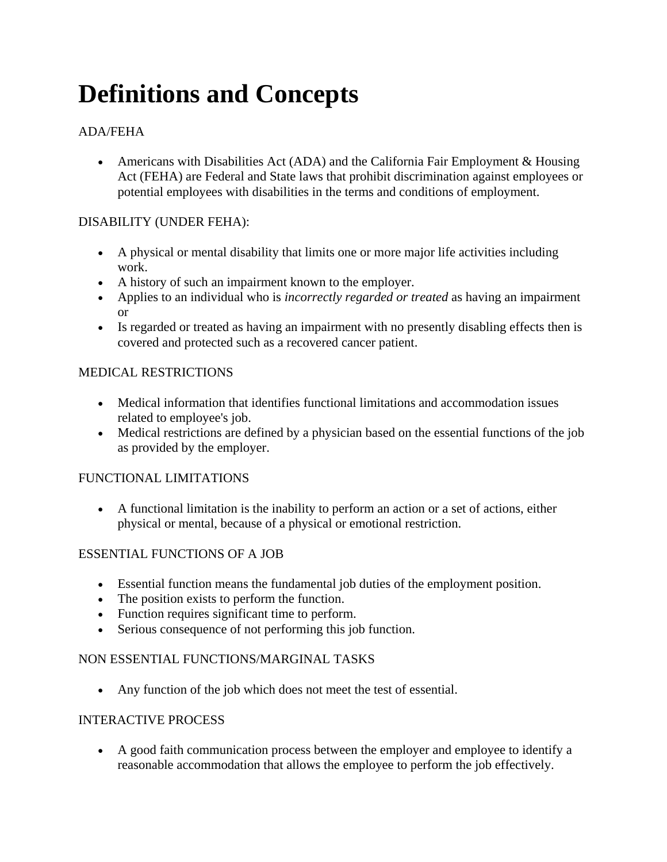# **Definitions and Concepts**

# ADA/FEHA

• Americans with Disabilities Act (ADA) and the California Fair Employment & Housing Act (FEHA) are Federal and State laws that prohibit discrimination against employees or potential employees with disabilities in the terms and conditions of employment.

# DISABILITY (UNDER FEHA):

- A physical or mental disability that limits one or more major life activities including work.
- A history of such an impairment known to the employer.
- Applies to an individual who is *incorrectly regarded or treated* as having an impairment or
- Is regarded or treated as having an impairment with no presently disabling effects then is covered and protected such as a recovered cancer patient.

### MEDICAL RESTRICTIONS

- Medical information that identifies functional limitations and accommodation issues related to employee's job.
- Medical restrictions are defined by a physician based on the essential functions of the job as provided by the employer.

#### FUNCTIONAL LIMITATIONS

 A functional limitation is the inability to perform an action or a set of actions, either physical or mental, because of a physical or emotional restriction.

#### ESSENTIAL FUNCTIONS OF A JOB

- Essential function means the fundamental job duties of the employment position.
- The position exists to perform the function.
- Function requires significant time to perform.
- Serious consequence of not performing this job function.

#### NON ESSENTIAL FUNCTIONS/MARGINAL TASKS

Any function of the job which does not meet the test of essential.

#### INTERACTIVE PROCESS

 A good faith communication process between the employer and employee to identify a reasonable accommodation that allows the employee to perform the job effectively.